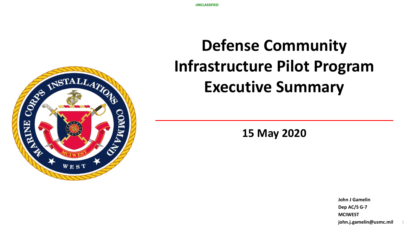# **Defense Community Infrastructure Pilot Program Executive Summary**

**15 May 2020**

**John J Gamelin Dep AC/S G-7 MCIWEST john.j.gamelin@usmc.mil**

1

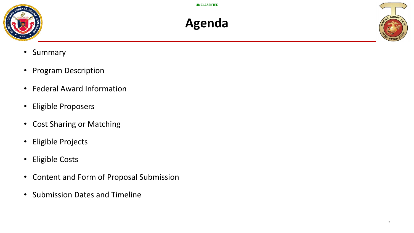





- Summary
- Program Description
- Federal Award Information
- Eligible Proposers
- Cost Sharing or Matching
- Eligible Projects
- Eligible Costs
- Content and Form of Proposal Submission
- Submission Dates and Timeline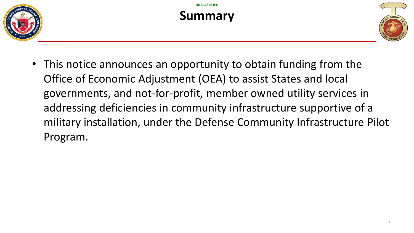

#### **Summary**



• This notice announces an opportunity to obtain funding from the Office of Economic Adjustment (OEA) to assist States and local governments, and not-for-profit, member owned utility services in addressing deficiencies in community infrastructure supportive of a military installation, under the Defense Community Infrastructure Pilot Program.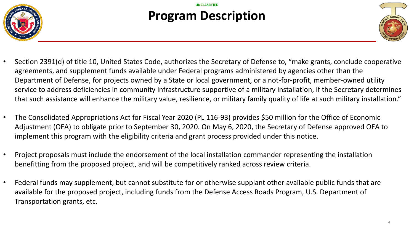

### **Program Description**



- Section 2391(d) of title 10, United States Code, authorizes the Secretary of Defense to, "make grants, conclude cooperative agreements, and supplement funds available under Federal programs administered by agencies other than the Department of Defense, for projects owned by a State or local government, or a not-for-profit, member-owned utility service to address deficiencies in community infrastructure supportive of a military installation, if the Secretary determines that such assistance will enhance the military value, resilience, or military family quality of life at such military installation."
- The Consolidated Appropriations Act for Fiscal Year 2020 (PL 116-93) provides \$50 million for the Office of Economic Adjustment (OEA) to obligate prior to September 30, 2020. On May 6, 2020, the Secretary of Defense approved OEA to implement this program with the eligibility criteria and grant process provided under this notice.
- Project proposals must include the endorsement of the local installation commander representing the installation benefitting from the proposed project, and will be competitively ranked across review criteria.
- Federal funds may supplement, but cannot substitute for or otherwise supplant other available public funds that are available for the proposed project, including funds from the Defense Access Roads Program, U.S. Department of Transportation grants, etc.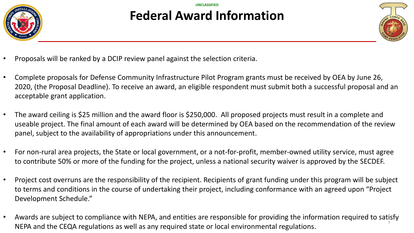

#### **UNCLASSIFIED Federal Award Information**



- Proposals will be ranked by a DCIP review panel against the selection criteria.
- Complete proposals for Defense Community Infrastructure Pilot Program grants must be received by OEA by June 26, 2020, (the Proposal Deadline). To receive an award, an eligible respondent must submit both a successful proposal and an acceptable grant application.
- The award ceiling is \$25 million and the award floor is \$250,000. All proposed projects must result in a complete and useable project. The final amount of each award will be determined by OEA based on the recommendation of the review panel, subject to the availability of appropriations under this announcement.
- For non-rural area projects, the State or local government, or a not-for-profit, member-owned utility service, must agree to contribute 50% or more of the funding for the project, unless a national security waiver is approved by the SECDEF.
- Project cost overruns are the responsibility of the recipient. Recipients of grant funding under this program will be subject to terms and conditions in the course of undertaking their project, including conformance with an agreed upon "Project Development Schedule."
- Awards are subject to compliance with NEPA, and entities are responsible for providing the information required to satisfy strategies NEPA and the CEQA regulations as well as any required state or local environmental regulations.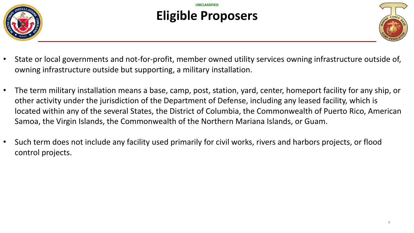

## **Eligible Proposers**



- State or local governments and not-for-profit, member owned utility services owning infrastructure outside of, owning infrastructure outside but supporting, a military installation.
- The term military installation means a base, camp, post, station, yard, center, homeport facility for any ship, or other activity under the jurisdiction of the Department of Defense, including any leased facility, which is located within any of the several States, the District of Columbia, the Commonwealth of Puerto Rico, American Samoa, the Virgin Islands, the Commonwealth of the Northern Mariana Islands, or Guam.
- Such term does not include any facility used primarily for civil works, rivers and harbors projects, or flood control projects.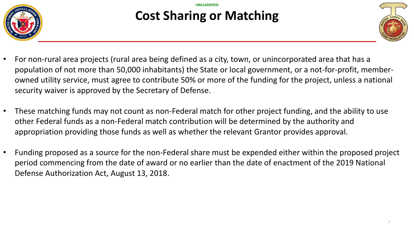

#### **Cost Sharing or Matching**



- For non-rural area projects (rural area being defined as a city, town, or unincorporated area that has a population of not more than 50,000 inhabitants) the State or local government, or a not-for-profit, memberowned utility service, must agree to contribute 50% or more of the funding for the project, unless a national security waiver is approved by the Secretary of Defense.
- These matching funds may not count as non-Federal match for other project funding, and the ability to use other Federal funds as a non-Federal match contribution will be determined by the authority and appropriation providing those funds as well as whether the relevant Grantor provides approval.
- Funding proposed as a source for the non-Federal share must be expended either within the proposed project period commencing from the date of award or no earlier than the date of enactment of the 2019 National Defense Authorization Act, August 13, 2018.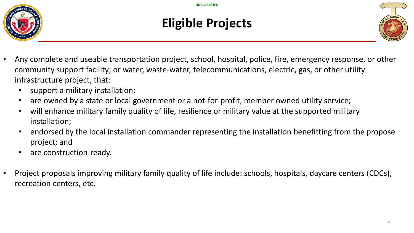



#### **Eligible Projects**



- Any complete and useable transportation project, school, hospital, police, fire, emergency response, or other community support facility; or water, waste-water, telecommunications, electric, gas, or other utility infrastructure project, that:
	- support a military installation;
	- are owned by a state or local government or a not-for-profit, member owned utility service;
	- will enhance military family quality of life, resilience or military value at the supported military installation;
	- endorsed by the local installation commander representing the installation benefitting from the propose project; and
	- are construction-ready.
- Project proposals improving military family quality of life include: schools, hospitals, daycare centers (CDCs), recreation centers, etc.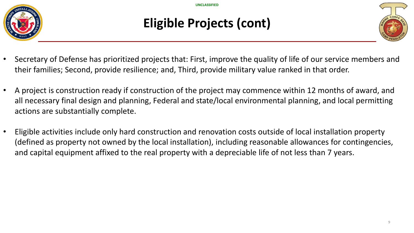

#### **Eligible Projects (cont)**



- Secretary of Defense has prioritized projects that: First, improve the quality of life of our service members and their families; Second, provide resilience; and, Third, provide military value ranked in that order.
- A project is construction ready if construction of the project may commence within 12 months of award, and all necessary final design and planning, Federal and state/local environmental planning, and local permitting actions are substantially complete.
- Eligible activities include only hard construction and renovation costs outside of local installation property (defined as property not owned by the local installation), including reasonable allowances for contingencies, and capital equipment affixed to the real property with a depreciable life of not less than 7 years.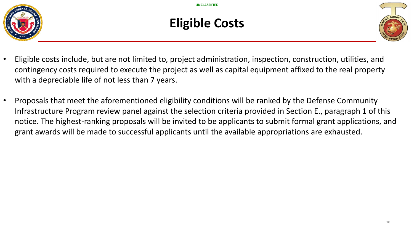

#### **Eligible Costs**



- Eligible costs include, but are not limited to, project administration, inspection, construction, utilities, and contingency costs required to execute the project as well as capital equipment affixed to the real property with a depreciable life of not less than 7 years.
- Proposals that meet the aforementioned eligibility conditions will be ranked by the Defense Community Infrastructure Program review panel against the selection criteria provided in Section E., paragraph 1 of this notice. The highest-ranking proposals will be invited to be applicants to submit formal grant applications, and grant awards will be made to successful applicants until the available appropriations are exhausted.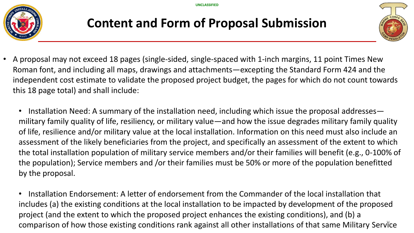

#### **Content and Form of Proposal Submission**



- A proposal may not exceed 18 pages (single-sided, single-spaced with 1-inch margins, 11 point Times New Roman font, and including all maps, drawings and attachments—excepting the Standard Form 424 and the independent cost estimate to validate the proposed project budget, the pages for which do not count towards this 18 page total) and shall include:
	- Installation Need: A summary of the installation need, including which issue the proposal addresses military family quality of life, resiliency, or military value—and how the issue degrades military family quality of life, resilience and/or military value at the local installation. Information on this need must also include an assessment of the likely beneficiaries from the project, and specifically an assessment of the extent to which the total installation population of military service members and/or their families will benefit (e.g., 0-100% of the population); Service members and /or their families must be 50% or more of the population benefitted by the proposal.
	- comparison of how those existing conditions rank against all other installations of that same Military Service • Installation Endorsement: A letter of endorsement from the Commander of the local installation that includes (a) the existing conditions at the local installation to be impacted by development of the proposed project (and the extent to which the proposed project enhances the existing conditions), and (b) a